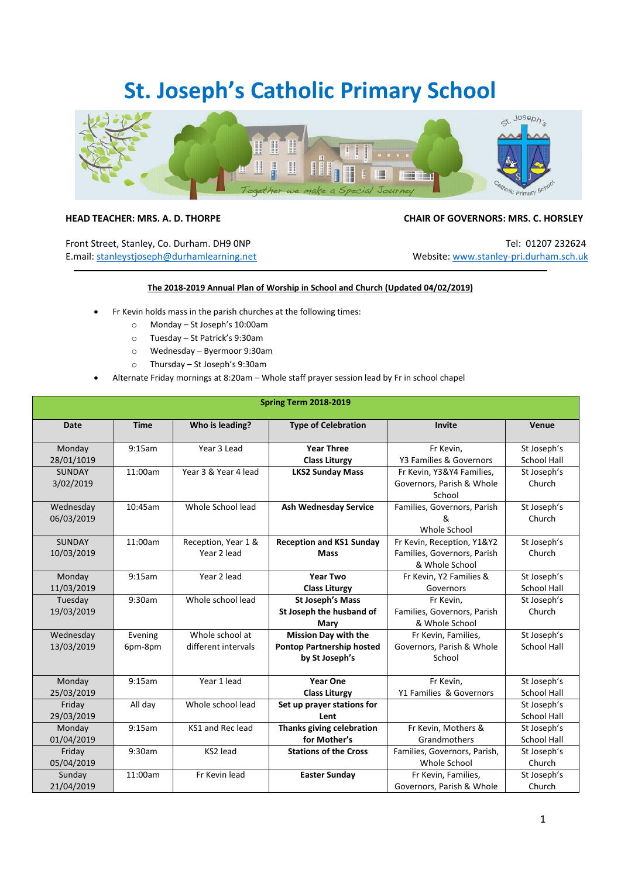## **St. Joseph's Catholic Primary School**



## **HEAD TEACHER: MRS. A. D. THORPE CHAIR OF GOVERNORS: MRS. C. HORSLEY**

Front Street, Stanley, Co. Durham. DH9 0NP Tel: 01207 232624 E.mail[: stanleystjoseph@durhamlearning.net](mailto:stanleystjoseph@durhamlearning.net) Website: [www.stanley-pri.durham.sch.uk](http://www.stanley-pri.durham.sch.uk/)

## **The 2018-2019 Annual Plan of Worship in School and Church (Updated 04/02/2019)**

- Fr Kevin holds mass in the parish churches at the following times:
	- o Monday St Joseph's 10:00am
	- o Tuesday St Patrick's 9:30am
	- o Wednesday Byermoor 9:30am
	- o Thursday St Joseph's 9:30am
- Alternate Friday mornings at 8:20am Whole staff prayer session lead by Fr in school chapel

| <b>Spring Term 2018-2019</b> |             |                      |                                  |                              |                    |  |  |  |  |
|------------------------------|-------------|----------------------|----------------------------------|------------------------------|--------------------|--|--|--|--|
| Date                         | <b>Time</b> | Who is leading?      | <b>Type of Celebration</b>       | Invite                       | Venue              |  |  |  |  |
| Monday                       | 9:15am      | Year 3 Lead          | <b>Year Three</b>                | Fr Kevin,                    | St Joseph's        |  |  |  |  |
| 28/01/1019                   |             |                      | <b>Class Liturgy</b>             | Y3 Families & Governors      | <b>School Hall</b> |  |  |  |  |
| <b>SUNDAY</b>                | 11:00am     | Year 3 & Year 4 lead | <b>LKS2 Sunday Mass</b>          | Fr Kevin, Y3&Y4 Families,    | St Joseph's        |  |  |  |  |
| 3/02/2019                    |             |                      |                                  | Governors, Parish & Whole    | Church             |  |  |  |  |
|                              |             |                      |                                  | School                       |                    |  |  |  |  |
| Wednesday                    | 10:45am     | Whole School lead    | <b>Ash Wednesday Service</b>     | Families, Governors, Parish  | St Joseph's        |  |  |  |  |
| 06/03/2019                   |             |                      |                                  | &                            | Church             |  |  |  |  |
|                              |             |                      |                                  | Whole School                 |                    |  |  |  |  |
| <b>SUNDAY</b>                | 11:00am     | Reception, Year 1 &  | <b>Reception and KS1 Sunday</b>  | Fr Kevin, Reception, Y1&Y2   | St Joseph's        |  |  |  |  |
| 10/03/2019                   |             | Year 2 lead          | <b>Mass</b>                      | Families, Governors, Parish  | Church             |  |  |  |  |
|                              |             |                      |                                  | & Whole School               |                    |  |  |  |  |
| Monday                       | 9:15am      | Year 2 lead          | <b>Year Two</b>                  | Fr Kevin, Y2 Families &      | St Joseph's        |  |  |  |  |
| 11/03/2019                   |             |                      | <b>Class Liturgy</b>             | Governors                    | <b>School Hall</b> |  |  |  |  |
| Tuesday                      | 9:30am      | Whole school lead    | <b>St Joseph's Mass</b>          | Fr Kevin,                    | St Joseph's        |  |  |  |  |
| 19/03/2019                   |             |                      | St Joseph the husband of         | Families, Governors, Parish  | Church             |  |  |  |  |
|                              |             |                      | Mary                             | & Whole School               |                    |  |  |  |  |
| Wednesday                    | Evening     | Whole school at      | <b>Mission Day with the</b>      | Fr Kevin, Families,          | St Joseph's        |  |  |  |  |
| 13/03/2019                   | 6pm-8pm     | different intervals  | <b>Pontop Partnership hosted</b> | Governors, Parish & Whole    | School Hall        |  |  |  |  |
|                              |             |                      | by St Joseph's                   | School                       |                    |  |  |  |  |
| Monday                       | 9:15am      | Year 1 lead          | <b>Year One</b>                  | Fr Kevin,                    | St Joseph's        |  |  |  |  |
| 25/03/2019                   |             |                      | <b>Class Liturgy</b>             | Y1 Families & Governors      | <b>School Hall</b> |  |  |  |  |
| Friday                       | All day     | Whole school lead    | Set up prayer stations for       |                              | St Joseph's        |  |  |  |  |
| 29/03/2019                   |             |                      | Lent                             |                              | <b>School Hall</b> |  |  |  |  |
| Monday                       | 9:15am      | KS1 and Rec lead     | Thanks giving celebration        | Fr Kevin, Mothers &          | St Joseph's        |  |  |  |  |
| 01/04/2019                   |             |                      | for Mother's                     | Grandmothers                 | <b>School Hall</b> |  |  |  |  |
| Friday                       | 9:30am      | KS2 lead             | <b>Stations of the Cross</b>     | Families, Governors, Parish, | St Joseph's        |  |  |  |  |
| 05/04/2019                   |             |                      |                                  | Whole School                 | Church             |  |  |  |  |
| Sunday                       | 11:00am     | Fr Kevin lead        | <b>Easter Sunday</b>             | Fr Kevin, Families,          | St Joseph's        |  |  |  |  |
| 21/04/2019                   |             |                      |                                  | Governors, Parish & Whole    | Church             |  |  |  |  |